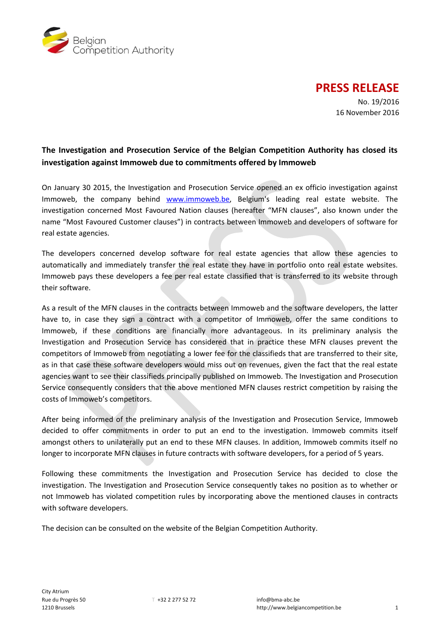

**PRESS RELEASE**

No. 19/2016 16 November 2016

## **The Investigation and Prosecution Service of the Belgian Competition Authority has closed its investigation against Immoweb due to commitments offered by Immoweb**

On January 30 2015, the Investigation and Prosecution Service opened an ex officio investigation against Immoweb, the company behind [www.immoweb.be,](http://www.immoweb.be/) Belgium's leading real estate website. The investigation concerned Most Favoured Nation clauses (hereafter "MFN clauses", also known under the name "Most Favoured Customer clauses") in contracts between Immoweb and developers of software for real estate agencies.

The developers concerned develop software for real estate agencies that allow these agencies to automatically and immediately transfer the real estate they have in portfolio onto real estate websites. Immoweb pays these developers a fee per real estate classified that is transferred to its website through their software.

As a result of the MFN clauses in the contracts between Immoweb and the software developers, the latter have to, in case they sign a contract with a competitor of Immoweb, offer the same conditions to Immoweb, if these conditions are financially more advantageous. In its preliminary analysis the Investigation and Prosecution Service has considered that in practice these MFN clauses prevent the competitors of Immoweb from negotiating a lower fee for the classifieds that are transferred to their site, as in that case these software developers would miss out on revenues, given the fact that the real estate agencies want to see their classifieds principally published on Immoweb. The Investigation and Prosecution Service consequently considers that the above mentioned MFN clauses restrict competition by raising the costs of Immoweb's competitors.

After being informed of the preliminary analysis of the Investigation and Prosecution Service, Immoweb decided to offer commitments in order to put an end to the investigation. Immoweb commits itself amongst others to unilaterally put an end to these MFN clauses. In addition, Immoweb commits itself no longer to incorporate MFN clauses in future contracts with software developers, for a period of 5 years.

Following these commitments the Investigation and Prosecution Service has decided to close the investigation. The Investigation and Prosecution Service consequently takes no position as to whether or not Immoweb has violated competition rules by incorporating above the mentioned clauses in contracts with software developers.

The decision can be consulted on the website of the Belgian Competition Authority.